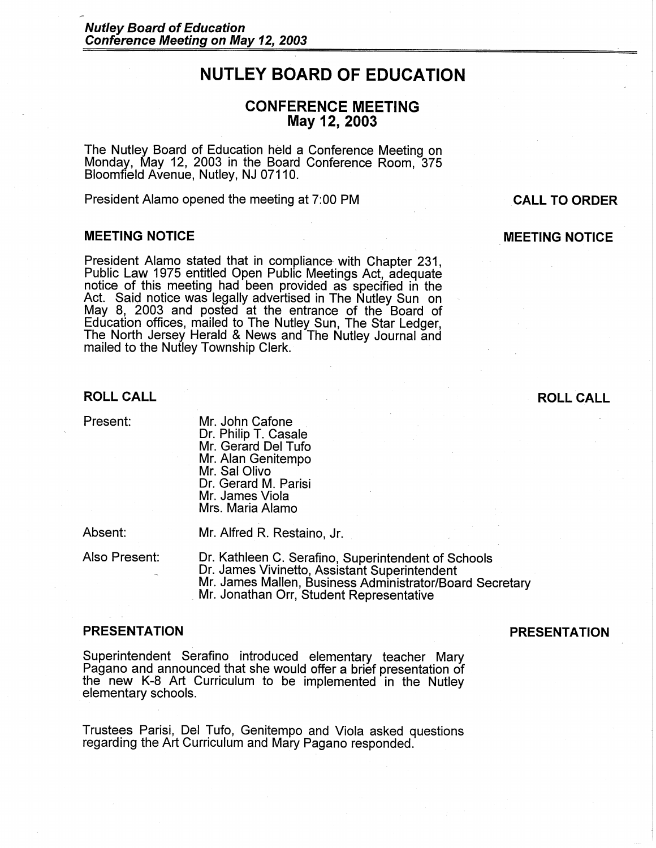# **NUTLEY BOARD OF EDUCATION**

# **CONFERENCE MEETING May 12, 2003**

The Nutley Board of Education held a Conference Meeting on Monday, May 12, 2003 in the Board Conference Room, 375 Bloomfield Avenue, Nutley, NJ 07110.

President Alamo opened the meeting at 7:00 PM

### **MEETING NOTICE**

President Alamo stated that in compliance with Chapter 231, Public Law 1975 entitled Open Public Meetings Act, adequate notice of this meeting had been provided as specified in the Act. Said notice was legally advertised in The Nutley Sun on May 8, 2003 and posted at the entrance of the Board of Education offices, mailed to The Nutley Sun, The Star Ledger, The North Jersey Herald & News and The Nutley Journal and mailed to the Nutley Township Clerk.

Present: Mr. John Cafone Dr. Philip T. Casale Mr. Gerard Del Tufo Mr. Alan Genitempo Mr. Sal Olivo Dr. Gerard M. Parisi Mr. James Viola Mrs. Maria Alamo

Absent: Mr. Alfred R. Restaino, Jr.

Also Present: Dr. Kathleen C. Serafino, Superintendent of Schools Dr. James Vivinetto, Assistant Superintendent Mr. James Mallen, Business Administrator/Board Secretary<br>Mr. Jonathan Orr, Student Representative

Superintendent Serafino introduced elementary teacher Mary Pagano and announced that she would offer a brief presentation of the new K-8 Art Curriculum to be implemented in the Nutley elementary schools.

Trustees Parisi, Del Tufo, Genitempo and Viola asked questions regarding the Art Curriculum and Mary Pagano responded.

# **PRESENTATION PRESENTATION**

# **ROLL CALL ROLL CALL**

**CALL TO ORDER** 

**MEETING NOTICE**